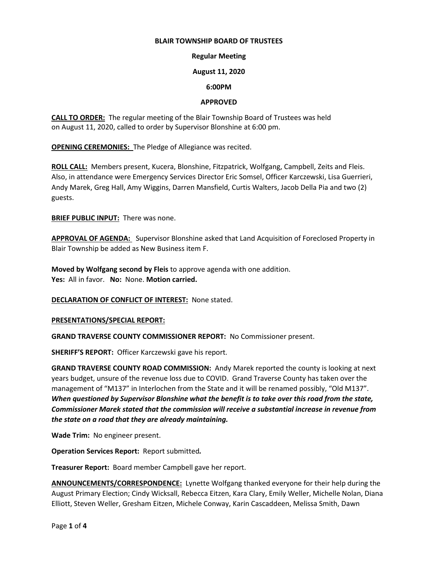### **BLAIR TOWNSHIP BOARD OF TRUSTEES**

### **Regular Meeting**

### **August 11, 2020**

### **6:00PM**

### **APPROVED**

**CALL TO ORDER:** The regular meeting of the Blair Township Board of Trustees was held on August 11, 2020, called to order by Supervisor Blonshine at 6:00 pm.

**OPENING CEREMONIES:** The Pledge of Allegiance was recited.

**ROLL CALL:** Members present, Kucera, Blonshine, Fitzpatrick, Wolfgang, Campbell, Zeits and Fleis. Also, in attendance were Emergency Services Director Eric Somsel, Officer Karczewski, Lisa Guerrieri, Andy Marek, Greg Hall, Amy Wiggins, Darren Mansfield, Curtis Walters, Jacob Della Pia and two (2) guests.

**BRIEF PUBLIC INPUT:** There was none.

**APPROVAL OF AGENDA:** Supervisor Blonshine asked that Land Acquisition of Foreclosed Property in Blair Township be added as New Business item F.

**Moved by Wolfgang second by Fleis** to approve agenda with one addition. **Yes:** All in favor. **No:** None. **Motion carried.**

### **DECLARATION OF CONFLICT OF INTEREST:** None stated.

### **PRESENTATIONS/SPECIAL REPORT:**

**GRAND TRAVERSE COUNTY COMMISSIONER REPORT:** No Commissioner present.

**SHERIFF'S REPORT:** Officer Karczewski gave his report.

**GRAND TRAVERSE COUNTY ROAD COMMISSION:** Andy Marek reported the county is looking at next years budget, unsure of the revenue loss due to COVID. Grand Traverse County has taken over the management of "M137" in Interlochen from the State and it will be renamed possibly, "Old M137". *When questioned by Supervisor Blonshine what the benefit is to take over this road from the state, Commissioner Marek stated that the commission will receive a substantial increase in revenue from the state on a road that they are already maintaining.*

**Wade Trim:** No engineer present.

**Operation Services Report:** Report submitted*.*

**Treasurer Report:** Board member Campbell gave her report.

**ANNOUNCEMENTS/CORRESPONDENCE:** Lynette Wolfgang thanked everyone for their help during the August Primary Election; Cindy Wicksall, Rebecca Eitzen, Kara Clary, Emily Weller, Michelle Nolan, Diana Elliott, Steven Weller, Gresham Eitzen, Michele Conway, Karin Cascaddeen, Melissa Smith, Dawn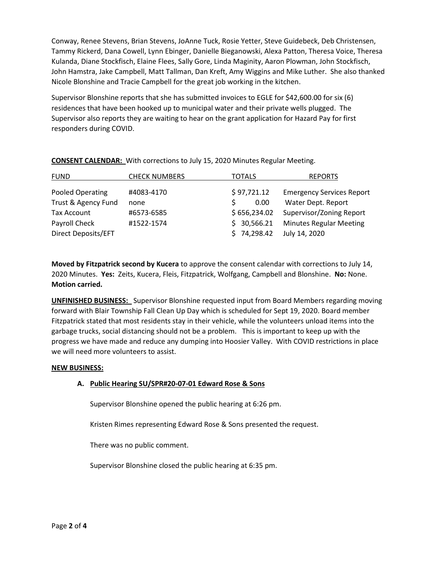Conway, Renee Stevens, Brian Stevens, JoAnne Tuck, Rosie Yetter, Steve Guidebeck, Deb Christensen, Tammy Rickerd, Dana Cowell, Lynn Ebinger, Danielle Bieganowski, Alexa Patton, Theresa Voice, Theresa Kulanda, Diane Stockfisch, Elaine Flees, Sally Gore, Linda Maginity, Aaron Plowman, John Stockfisch, John Hamstra, Jake Campbell, Matt Tallman, Dan Kreft, Amy Wiggins and Mike Luther. She also thanked Nicole Blonshine and Tracie Campbell for the great job working in the kitchen.

Supervisor Blonshine reports that she has submitted invoices to EGLE for \$42,600.00 for six (6) residences that have been hooked up to municipal water and their private wells plugged. The Supervisor also reports they are waiting to hear on the grant application for Hazard Pay for first responders during COVID.

| <b>FUND</b>         | <b>CHECK NUMBERS</b> | <b>TOTALS</b> | <b>REPORTS</b>                   |
|---------------------|----------------------|---------------|----------------------------------|
| Pooled Operating    | #4083-4170           | \$97,721.12   | <b>Emergency Services Report</b> |
| Trust & Agency Fund | none                 | 0.00          | Water Dept. Report               |
| Tax Account         | #6573-6585           | \$656,234.02  | Supervisor/Zoning Report         |
| Payroll Check       | #1522-1574           | \$30,566.21   | <b>Minutes Regular Meeting</b>   |
| Direct Deposits/EFT |                      | \$74,298.42   | July 14, 2020                    |

**CONSENT CALENDAR:** With corrections to July 15, 2020 Minutes Regular Meeting.

**Moved by Fitzpatrick second by Kucera** to approve the consent calendar with corrections to July 14, 2020 Minutes. **Yes:** Zeits, Kucera, Fleis, Fitzpatrick, Wolfgang, Campbell and Blonshine. **No:** None. **Motion carried.**

**UNFINISHED BUSINESS:** Supervisor Blonshine requested input from Board Members regarding moving forward with Blair Township Fall Clean Up Day which is scheduled for Sept 19, 2020. Board member Fitzpatrick stated that most residents stay in their vehicle, while the volunteers unload items into the garbage trucks, social distancing should not be a problem. This is important to keep up with the progress we have made and reduce any dumping into Hoosier Valley. With COVID restrictions in place we will need more volunteers to assist.

## **NEW BUSINESS:**

# **A. Public Hearing SU/SPR#20-07-01 Edward Rose & Sons**

Supervisor Blonshine opened the public hearing at 6:26 pm.

Kristen Rimes representing Edward Rose & Sons presented the request.

There was no public comment.

Supervisor Blonshine closed the public hearing at 6:35 pm.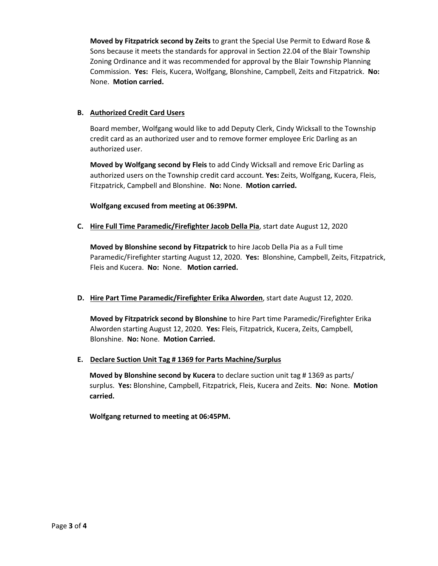**Moved by Fitzpatrick second by Zeits** to grant the Special Use Permit to Edward Rose & Sons because it meets the standards for approval in Section 22.04 of the Blair Township Zoning Ordinance and it was recommended for approval by the Blair Township Planning Commission. **Yes:** Fleis, Kucera, Wolfgang, Blonshine, Campbell, Zeits and Fitzpatrick. **No:** None. **Motion carried.**

## **B. Authorized Credit Card Users**

Board member, Wolfgang would like to add Deputy Clerk, Cindy Wicksall to the Township credit card as an authorized user and to remove former employee Eric Darling as an authorized user.

**Moved by Wolfgang second by Fleis** to add Cindy Wicksall and remove Eric Darling as authorized users on the Township credit card account. **Yes:** Zeits, Wolfgang, Kucera, Fleis, Fitzpatrick, Campbell and Blonshine. **No:** None. **Motion carried.**

**Wolfgang excused from meeting at 06:39PM.**

**C. Hire Full Time Paramedic/Firefighter Jacob Della Pia**, start date August 12, 2020

**Moved by Blonshine second by Fitzpatrick** to hire Jacob Della Pia as a Full time Paramedic/Firefighter starting August 12, 2020. **Yes:** Blonshine, Campbell, Zeits, Fitzpatrick, Fleis and Kucera. **No:** None. **Motion carried.** 

# **D. Hire Part Time Paramedic/Firefighter Erika Alworden**, start date August 12, 2020.

**Moved by Fitzpatrick second by Blonshine** to hire Part time Paramedic/Firefighter Erika Alworden starting August 12, 2020. **Yes:** Fleis, Fitzpatrick, Kucera, Zeits, Campbell, Blonshine. **No:** None. **Motion Carried.** 

## **E. Declare Suction Unit Tag # 1369 for Parts Machine/Surplus**

**Moved by Blonshine second by Kucera** to declare suction unit tag # 1369 as parts/ surplus. **Yes:** Blonshine, Campbell, Fitzpatrick, Fleis, Kucera and Zeits. **No:** None. **Motion carried.** 

**Wolfgang returned to meeting at 06:45PM.**